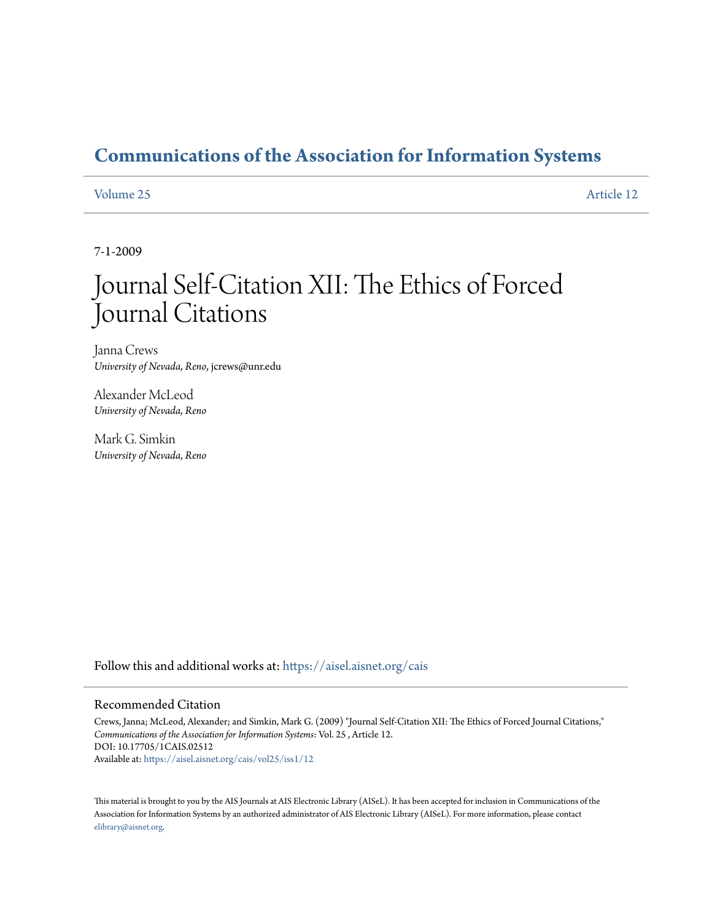# **[Communications of the Association for Information Systems](https://aisel.aisnet.org/cais?utm_source=aisel.aisnet.org%2Fcais%2Fvol25%2Fiss1%2F12&utm_medium=PDF&utm_campaign=PDFCoverPages)**

[Volume 25](https://aisel.aisnet.org/cais/vol25?utm_source=aisel.aisnet.org%2Fcais%2Fvol25%2Fiss1%2F12&utm_medium=PDF&utm_campaign=PDFCoverPages) [Article 12](https://aisel.aisnet.org/cais/vol25/iss1/12?utm_source=aisel.aisnet.org%2Fcais%2Fvol25%2Fiss1%2F12&utm_medium=PDF&utm_campaign=PDFCoverPages)

7-1-2009

# Journal Self-Citation XII: The Ethics of Forced Journal Citations

Janna Crews *University of Nevada, Reno*, jcrews@unr.edu

Alexander McLeod *University of Nevada, Reno*

Mark G. Simkin *University of Nevada, Reno*

Follow this and additional works at: [https://aisel.aisnet.org/cais](https://aisel.aisnet.org/cais?utm_source=aisel.aisnet.org%2Fcais%2Fvol25%2Fiss1%2F12&utm_medium=PDF&utm_campaign=PDFCoverPages)

#### Recommended Citation

Crews, Janna; McLeod, Alexander; and Simkin, Mark G. (2009) "Journal Self-Citation XII: The Ethics of Forced Journal Citations," *Communications of the Association for Information Systems*: Vol. 25 , Article 12. DOI: 10.17705/1CAIS.02512 Available at: [https://aisel.aisnet.org/cais/vol25/iss1/12](https://aisel.aisnet.org/cais/vol25/iss1/12?utm_source=aisel.aisnet.org%2Fcais%2Fvol25%2Fiss1%2F12&utm_medium=PDF&utm_campaign=PDFCoverPages)

This material is brought to you by the AIS Journals at AIS Electronic Library (AISeL). It has been accepted for inclusion in Communications of the Association for Information Systems by an authorized administrator of AIS Electronic Library (AISeL). For more information, please contact [elibrary@aisnet.org.](mailto:elibrary@aisnet.org%3E)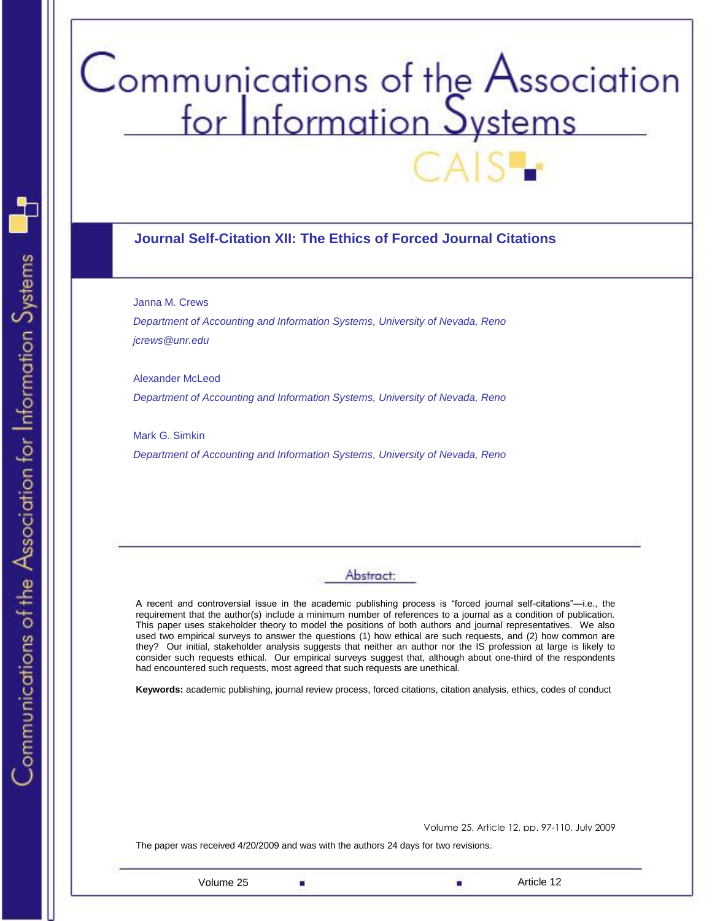# Communications of the Association<br>for Information Systems

# **Journal Self-Citation XII: The Ethics of Forced Journal Citations**

Janna M. Crews

*Department of Accounting and Information Systems, University of Nevada, Reno jcrews@unr.edu*

Alexander McLeod *Department of Accounting and Information Systems, University of Nevada, Reno*

Mark G. Simkin *Department of Accounting and Information Systems, University of Nevada, Reno*

# Abstract:

A recent and controversial issue in the academic publishing process is "forced journal self-citations"—i.e., the requirement that the author(s) include a minimum number of references to a journal as a condition of publication. This paper uses stakeholder theory to model the positions of both authors and journal representatives. We also used two empirical surveys to answer the questions (1) how ethical are such requests, and (2) how common are they? Our initial, stakeholder analysis suggests that neither an author nor the IS profession at large is likely to consider such requests ethical. Our empirical surveys suggest that, although about one-third of the respondents had encountered such requests, most agreed that such requests are unethical.

**Keywords:** academic publishing, journal review process, forced citations, citation analysis, ethics, codes of conduct

Volume 25, Article 12, pp. 97-110, July 2009

The paper was received 4/20/2009 and was with the authors 24 days for two revisions.

Volume 25 **Article 12** Article 12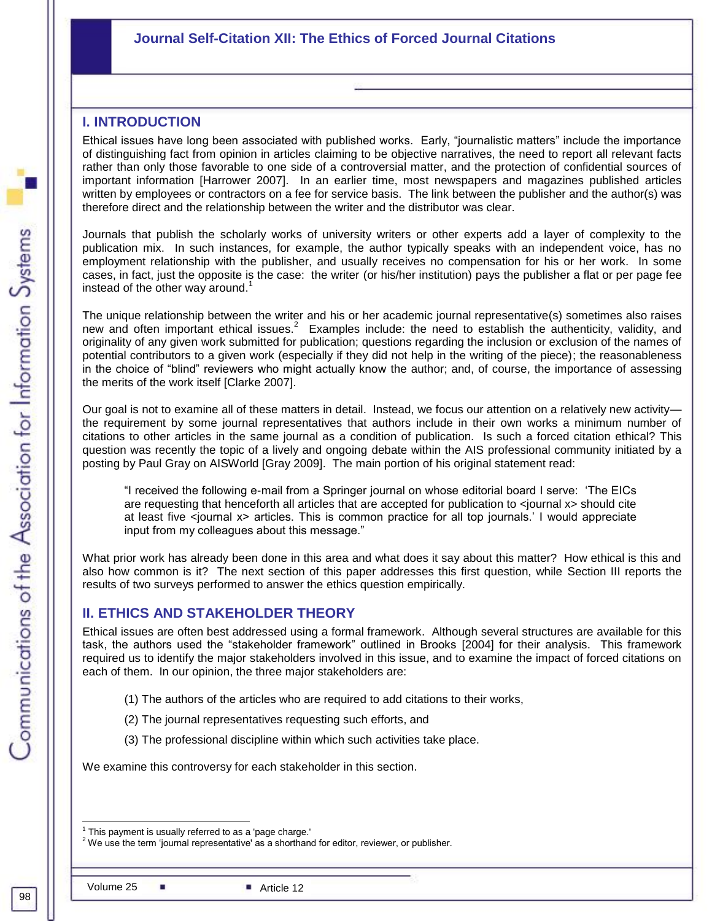# **Journal Self-Citation XII: The Ethics of Forced Journal Citations**

# **I. INTRODUCTION**

Ethical issues have long been associated with published works. Early, "journalistic matters" include the importance of distinguishing fact from opinion in articles claiming to be objective narratives, the need to report all relevant facts rather than only those favorable to one side of a controversial matter, and the protection of confidential sources of important information [Harrower 2007]. In an earlier time, most newspapers and magazines published articles written by employees or contractors on a fee for service basis. The link between the publisher and the author(s) was therefore direct and the relationship between the writer and the distributor was clear.

Journals that publish the scholarly works of university writers or other experts add a layer of complexity to the publication mix. In such instances, for example, the author typically speaks with an independent voice, has no employment relationship with the publisher, and usually receives no compensation for his or her work. In some cases, in fact, just the opposite is the case: the writer (or his/her institution) pays the publisher a flat or per page fee instead of the other way around. 1

The unique relationship between the writer and his or her academic journal representative(s) sometimes also raises new and often important ethical issues.<sup>2</sup> Examples include: the need to establish the authenticity, validity, and originality of any given work submitted for publication; questions regarding the inclusion or exclusion of the names of potential contributors to a given work (especially if they did not help in the writing of the piece); the reasonableness in the choice of "blind" reviewers who might actually know the author; and, of course, the importance of assessing the merits of the work itself [Clarke 2007].

Our goal is not to examine all of these matters in detail. Instead, we focus our attention on a relatively new activity the requirement by some journal representatives that authors include in their own works a minimum number of citations to other articles in the same journal as a condition of publication. Is such a forced citation ethical? This question was recently the topic of a lively and ongoing debate within the AIS professional community initiated by a posting by Paul Gray on AISWorld [Gray 2009]. The main portion of his original statement read:

―I received the following e-mail from a Springer journal on whose editorial board I serve: ‗The EICs are requesting that henceforth all articles that are accepted for publication to <journal x> should cite at least five <journal x> articles. This is common practice for all top journals.' I would appreciate input from my colleagues about this message."

What prior work has already been done in this area and what does it say about this matter? How ethical is this and also how common is it? The next section of this paper addresses this first question, while Section III reports the results of two surveys performed to answer the ethics question empirically.

# **II. ETHICS AND STAKEHOLDER THEORY**

Ethical issues are often best addressed using a formal framework. Although several structures are available for this task, the authors used the "stakeholder framework" outlined in Brooks [2004] for their analysis. This framework required us to identify the major stakeholders involved in this issue, and to examine the impact of forced citations on each of them. In our opinion, the three major stakeholders are:

- (1) The authors of the articles who are required to add citations to their works,
- (2) The journal representatives requesting such efforts, and
- (3) The professional discipline within which such activities take place.

**Journal Self-Citation XII: The Ethics of Forced Journal Citations** We examine this controversy for each stakeholder in this section.

l 1 This payment is usually referred to as a 'page charge.'

 $2$  We use the term 'journal representative' as a shorthand for editor, reviewer, or publisher.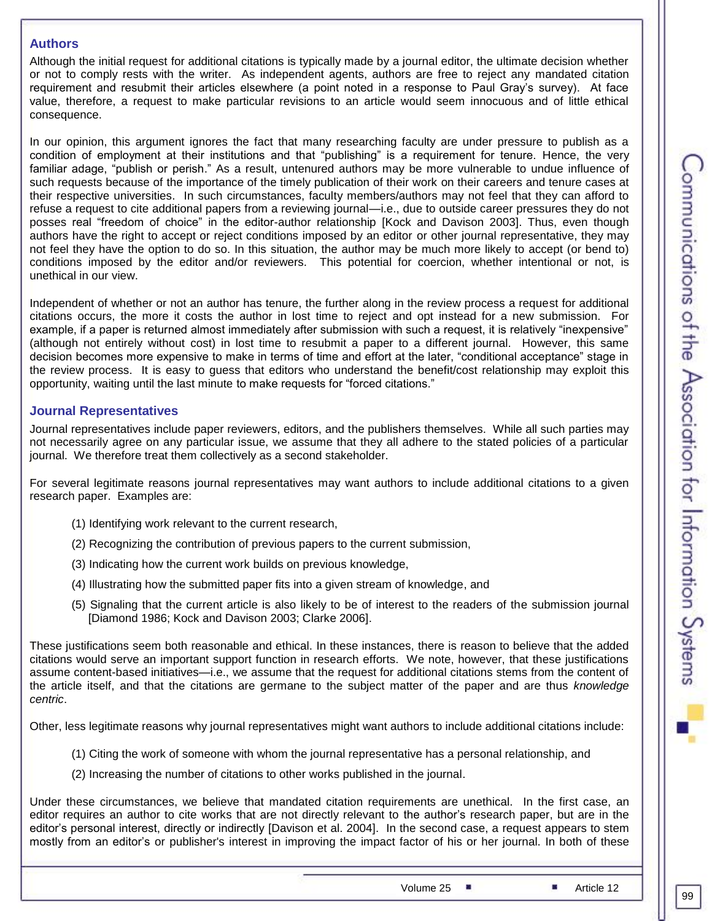### **Authors**

Although the initial request for additional citations is typically made by a journal editor, the ultimate decision whether or not to comply rests with the writer. As independent agents, authors are free to reject any mandated citation requirement and resubmit their articles elsewhere (a point noted in a response to Paul Gray's survey). At face value, therefore, a request to make particular revisions to an article would seem innocuous and of little ethical consequence.

In our opinion, this argument ignores the fact that many researching faculty are under pressure to publish as a condition of employment at their institutions and that "publishing" is a requirement for tenure. Hence, the very familiar adage, "publish or perish." As a result, untenured authors may be more vulnerable to undue influence of such requests because of the importance of the timely publication of their work on their careers and tenure cases at their respective universities. In such circumstances, faculty members/authors may not feel that they can afford to refuse a request to cite additional papers from a reviewing journal—i.e., due to outside career pressures they do not posses real "freedom of choice" in the editor-author relationship [Kock and Davison 2003]. Thus, even though authors have the right to accept or reject conditions imposed by an editor or other journal representative, they may not feel they have the option to do so. In this situation, the author may be much more likely to accept (or bend to) conditions imposed by the editor and/or reviewers. This potential for coercion, whether intentional or not, is unethical in our view.

Independent of whether or not an author has tenure, the further along in the review process a request for additional citations occurs, the more it costs the author in lost time to reject and opt instead for a new submission. For example, if a paper is returned almost immediately after submission with such a request, it is relatively "inexpensive" (although not entirely without cost) in lost time to resubmit a paper to a different journal. However, this same decision becomes more expensive to make in terms of time and effort at the later, "conditional acceptance" stage in the review process. It is easy to guess that editors who understand the benefit/cost relationship may exploit this opportunity, waiting until the last minute to make requests for "forced citations."

# **Journal Representatives**

Journal representatives include paper reviewers, editors, and the publishers themselves. While all such parties may not necessarily agree on any particular issue, we assume that they all adhere to the stated policies of a particular journal. We therefore treat them collectively as a second stakeholder.

For several legitimate reasons journal representatives may want authors to include additional citations to a given research paper. Examples are:

- (1) Identifying work relevant to the current research,
- (2) Recognizing the contribution of previous papers to the current submission,
- (3) Indicating how the current work builds on previous knowledge,
- (4) Illustrating how the submitted paper fits into a given stream of knowledge, and
- (5) Signaling that the current article is also likely to be of interest to the readers of the submission journal [Diamond 1986; Kock and Davison 2003; Clarke 2006].

These justifications seem both reasonable and ethical. In these instances, there is reason to believe that the added citations would serve an important support function in research efforts. We note, however, that these justifications assume content-based initiatives—i.e., we assume that the request for additional citations stems from the content of the article itself, and that the citations are germane to the subject matter of the paper and are thus *knowledge centric*.

Other, less legitimate reasons why journal representatives might want authors to include additional citations include:

- (1) Citing the work of someone with whom the journal representative has a personal relationship, and
- (2) Increasing the number of citations to other works published in the journal.

Under these circumstances, we believe that mandated citation requirements are unethical. In the first case, an editor requires an author to cite works that are not directly relevant to the author's research paper, but are in the editor's personal interest, directly or indirectly [Davison et al. 2004]. In the second case, a request appears to stem mostly from an editor's or publisher's interest in improving the impact factor of his or her journal. In both of these

Volume 25 **Article 12**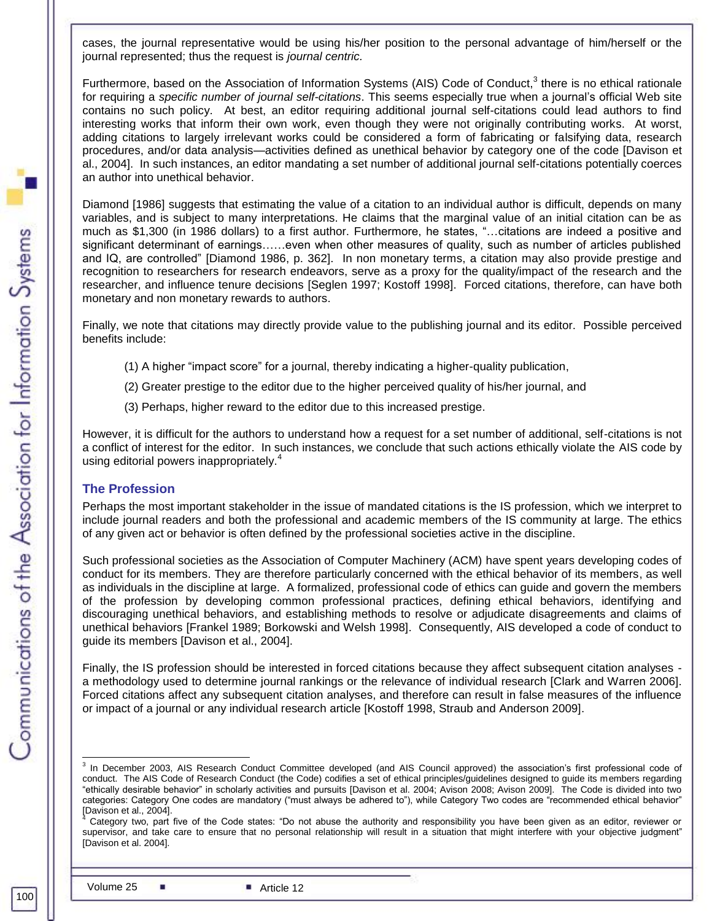cases, the journal representative would be using his/her position to the personal advantage of him/herself or the journal represented; thus the request is *journal centric.*

Furthermore, based on the Association of Information Systems (AIS) Code of Conduct,<sup>3</sup> there is no ethical rationale for requiring a *specific number of journal self-citations*. This seems especially true when a journal's official Web site contains no such policy. At best, an editor requiring additional journal self-citations could lead authors to find interesting works that inform their own work, even though they were not originally contributing works. At worst, adding citations to largely irrelevant works could be considered a form of fabricating or falsifying data, research procedures, and/or data analysis—activities defined as unethical behavior by category one of the code [Davison et al., 2004]. In such instances, an editor mandating a set number of additional journal self-citations potentially coerces an author into unethical behavior.

Diamond [1986] suggests that estimating the value of a citation to an individual author is difficult, depends on many variables, and is subject to many interpretations. He claims that the marginal value of an initial citation can be as much as \$1,300 (in 1986 dollars) to a first author. Furthermore, he states, "...citations are indeed a positive and significant determinant of earnings……even when other measures of quality, such as number of articles published and IQ, are controlled" [Diamond 1986, p. 362]. In non monetary terms, a citation may also provide prestige and recognition to researchers for research endeavors, serve as a proxy for the quality/impact of the research and the researcher, and influence tenure decisions [Seglen 1997; Kostoff 1998]. Forced citations, therefore, can have both monetary and non monetary rewards to authors.

Finally, we note that citations may directly provide value to the publishing journal and its editor. Possible perceived benefits include:

- (1) A higher "impact score" for a journal, thereby indicating a higher-quality publication,
- (2) Greater prestige to the editor due to the higher perceived quality of his/her journal, and
- (3) Perhaps, higher reward to the editor due to this increased prestige.

However, it is difficult for the authors to understand how a request for a set number of additional, self-citations is not a conflict of interest for the editor. In such instances, we conclude that such actions ethically violate the AIS code by using editorial powers inappropriately.<sup>4</sup>

# **The Profession**

Perhaps the most important stakeholder in the issue of mandated citations is the IS profession, which we interpret to include journal readers and both the professional and academic members of the IS community at large. The ethics of any given act or behavior is often defined by the professional societies active in the discipline.

Such professional societies as the Association of Computer Machinery (ACM) have spent years developing codes of conduct for its members. They are therefore particularly concerned with the ethical behavior of its members, as well as individuals in the discipline at large. A formalized, professional code of ethics can guide and govern the members of the profession by developing common professional practices, defining ethical behaviors, identifying and discouraging unethical behaviors, and establishing methods to resolve or adjudicate disagreements and claims of unethical behaviors [Frankel 1989; Borkowski and Welsh 1998]. Consequently, AIS developed a code of conduct to guide its members [Davison et al., 2004].

Finally, the IS profession should be interested in forced citations because they affect subsequent citation analyses a methodology used to determine journal rankings or the relevance of individual research [Clark and Warren 2006]. Forced citations affect any subsequent citation analyses, and therefore can result in false measures of the influence or impact of a journal or any individual research article [Kostoff 1998, Straub and Anderson 2009].

 3 In December 2003, AIS Research Conduct Committee developed (and AIS Council approved) the association's first professional code of conduct. The AIS Code of Research Conduct (the Code) codifies a set of ethical principles/guidelines designed to guide its members regarding ―ethically desirable behavior‖ in scholarly activities and pursuits [Davison et al. 2004; Avison 2008; Avison 2009]. The Code is divided into two categories: Category One codes are mandatory ("must always be adhered to"), while Category Two codes are "recommended ethical behavior" [Davison et al., 2004].

Category two, part five of the Code states: "Do not abuse the authority and responsibility you have been given as an editor, reviewer or supervisor, and take care to ensure that no personal relationship will result in a situation that might interfere with your objective judgment" [Davison et al. 2004].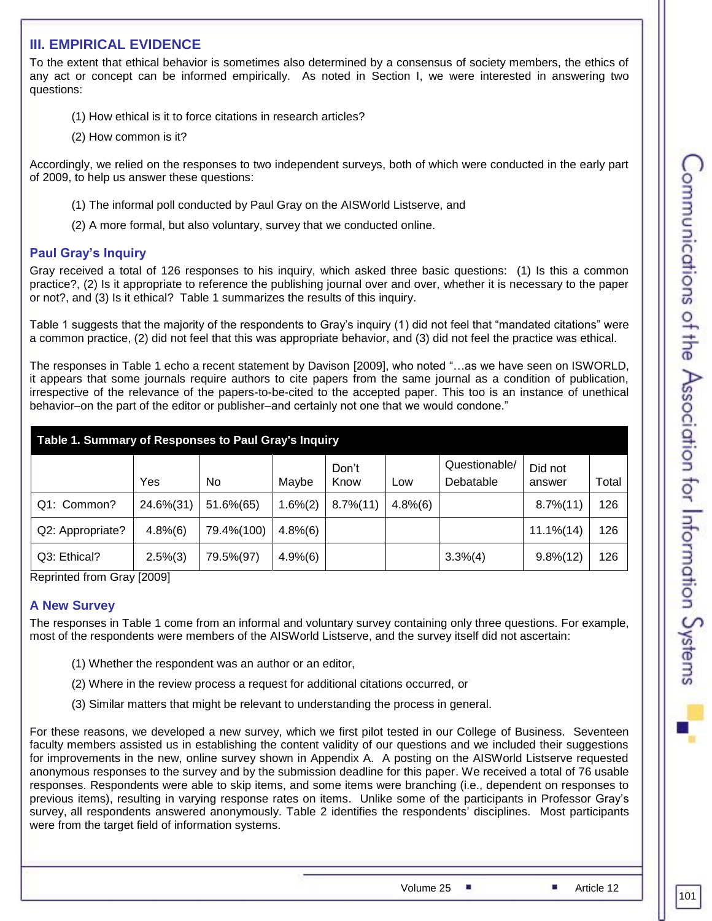# **III. EMPIRICAL EVIDENCE**

To the extent that ethical behavior is sometimes also determined by a consensus of society members, the ethics of any act or concept can be informed empirically. As noted in Section I, we were interested in answering two questions:

- (1) How ethical is it to force citations in research articles?
- (2) How common is it?

Accordingly, we relied on the responses to two independent surveys, both of which were conducted in the early part of 2009, to help us answer these questions:

- (1) The informal poll conducted by Paul Gray on the AISWorld Listserve, and
- (2) A more formal, but also voluntary, survey that we conducted online.

# **Paul Gray's Inquiry**

Gray received a total of 126 responses to his inquiry, which asked three basic questions: (1) Is this a common practice?, (2) Is it appropriate to reference the publishing journal over and over, whether it is necessary to the paper or not?, and (3) Is it ethical? Table 1 summarizes the results of this inquiry.

Table 1 suggests that the majority of the respondents to Gray's inquiry (1) did not feel that "mandated citations" were a common practice, (2) did not feel that this was appropriate behavior, and (3) did not feel the practice was ethical.

The responses in Table 1 echo a recent statement by Davison [2009], who noted "...as we have seen on ISWORLD, it appears that some journals require authors to cite papers from the same journal as a condition of publication, irrespective of the relevance of the papers-to-be-cited to the accepted paper. This too is an instance of unethical behavior–on the part of the editor or publisher–and certainly not one that we would condone."

| Table 1. Summary of Responses to Paul Gray's Inquiry |            |            |               |                |         |                            |                   |       |
|------------------------------------------------------|------------|------------|---------------|----------------|---------|----------------------------|-------------------|-------|
|                                                      | Yes        | No         | Maybe         | Don't<br>Know  | Low     | Questionable/<br>Debatable | Did not<br>answer | Total |
| Q1: Common?                                          | 24.6%(31)  | 51.6%(65)  | $1.6\%(2)$    | $8.7\%$ $(11)$ | 4.8%(6) |                            | $8.7\%$ $(11)$    | 126   |
| Q2: Appropriate?                                     | 4.8%(6)    | 79.4%(100) | $4.8\%(6)$    |                |         |                            | $11.1\% (14)$     | 126   |
| Q3: Ethical?                                         | $2.5\%(3)$ | 79.5%(97)  | $4.9\%$ $(6)$ |                |         | 3.3%(4)                    | $9.8\%(12)$       | 126   |

Reprinted from Gray [2009]

# **A New Survey**

The responses in Table 1 come from an informal and voluntary survey containing only three questions. For example, most of the respondents were members of the AISWorld Listserve, and the survey itself did not ascertain:

- (1) Whether the respondent was an author or an editor,
- (2) Where in the review process a request for additional citations occurred, or
- (3) Similar matters that might be relevant to understanding the process in general.

For these reasons, we developed a new survey, which we first pilot tested in our College of Business. Seventeen faculty members assisted us in establishing the content validity of our questions and we included their suggestions for improvements in the new, online survey shown in Appendix A. A posting on the AISWorld Listserve requested anonymous responses to the survey and by the submission deadline for this paper. We received a total of 76 usable responses. Respondents were able to skip items, and some items were branching (i.e., dependent on responses to previous items), resulting in varying response rates on items. Unlike some of the participants in Professor Gray's survey, all respondents answered anonymously. Table 2 identifies the respondents' disciplines. Most participants were from the target field of information systems.

Volume  $25$  **Article 12** Article 12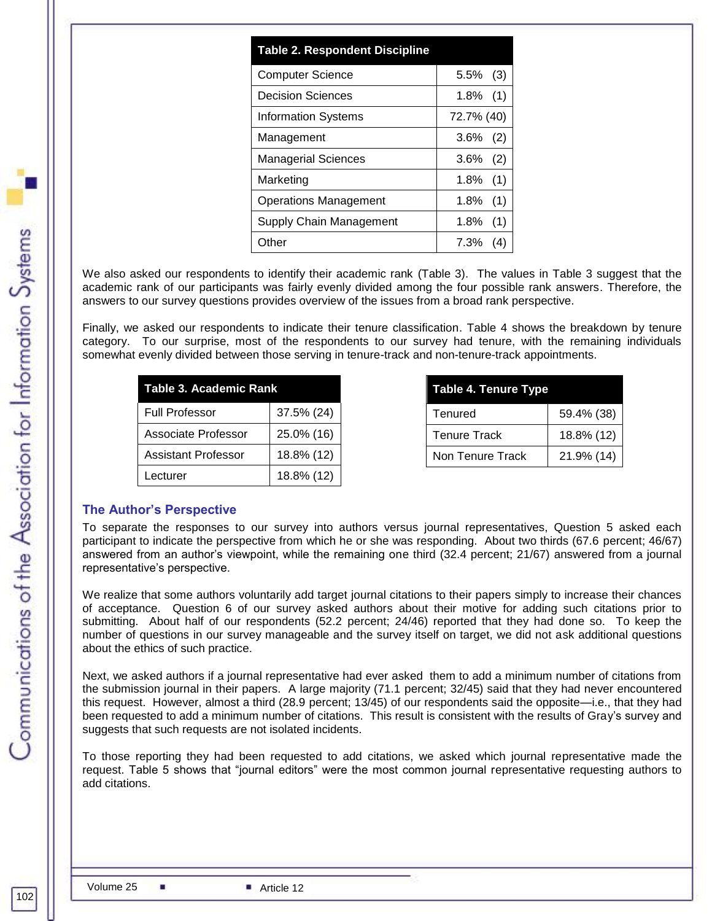| <b>Table 2. Respondent Discipline</b> |                |
|---------------------------------------|----------------|
| <b>Computer Science</b>               | $5.5\%$ (3)    |
| Decision Sciences                     | $1.8\%$ (1)    |
| <b>Information Systems</b>            | 72.7% (40)     |
| Management                            | $3.6\%$<br>(2) |
| <b>Managerial Sciences</b>            | $3.6\%$<br>(2) |
| Marketing                             | $1.8\%$ (1)    |
| Operations Management                 | 1.8%<br>(1)    |
| Supply Chain Management               | 1.8%<br>(1)    |
| Other                                 | 7.3%           |

We also asked our respondents to identify their academic rank (Table 3). The values in Table 3 suggest that the academic rank of our participants was fairly evenly divided among the four possible rank answers. Therefore, the answers to our survey questions provides overview of the issues from a broad rank perspective.

Finally, we asked our respondents to indicate their tenure classification. Table 4 shows the breakdown by tenure category. To our surprise, most of the respondents to our survey had tenure, with the remaining individuals somewhat evenly divided between those serving in tenure-track and non-tenure-track appointments.

| Table 3. Academic Rank |            |  |
|------------------------|------------|--|
| <b>Full Professor</b>  | 37.5% (24) |  |
| Associate Professor    | 25.0% (16) |  |
| Assistant Professor    | 18.8% (12) |  |
| Lecturer               | 18.8% (12) |  |

| Table 4. Tenure Type |            |  |  |
|----------------------|------------|--|--|
| Tenured              | 59.4% (38) |  |  |
| <b>Tenure Track</b>  | 18.8% (12) |  |  |
| Non Tenure Track     | 21.9% (14) |  |  |

# **The Author's Perspective**

To separate the responses to our survey into authors versus journal representatives, Question 5 asked each participant to indicate the perspective from which he or she was responding. About two thirds (67.6 percent; 46/67) answered from an author's viewpoint, while the remaining one third (32.4 percent; 21/67) answered from a journal representative's perspective.

We realize that some authors voluntarily add target journal citations to their papers simply to increase their chances of acceptance. Question 6 of our survey asked authors about their motive for adding such citations prior to submitting. About half of our respondents (52.2 percent; 24/46) reported that they had done so. To keep the number of questions in our survey manageable and the survey itself on target, we did not ask additional questions about the ethics of such practice.

Next, we asked authors if a journal representative had ever asked them to add a minimum number of citations from the submission journal in their papers. A large majority (71.1 percent; 32/45) said that they had never encountered this request. However, almost a third (28.9 percent; 13/45) of our respondents said the opposite—i.e., that they had been requested to add a minimum number of citations. This result is consistent with the results of Gray's survey and suggests that such requests are not isolated incidents.

To those reporting they had been requested to add citations, we asked which journal representative made the request. Table 5 shows that "journal editors" were the most common journal representative requesting authors to add citations.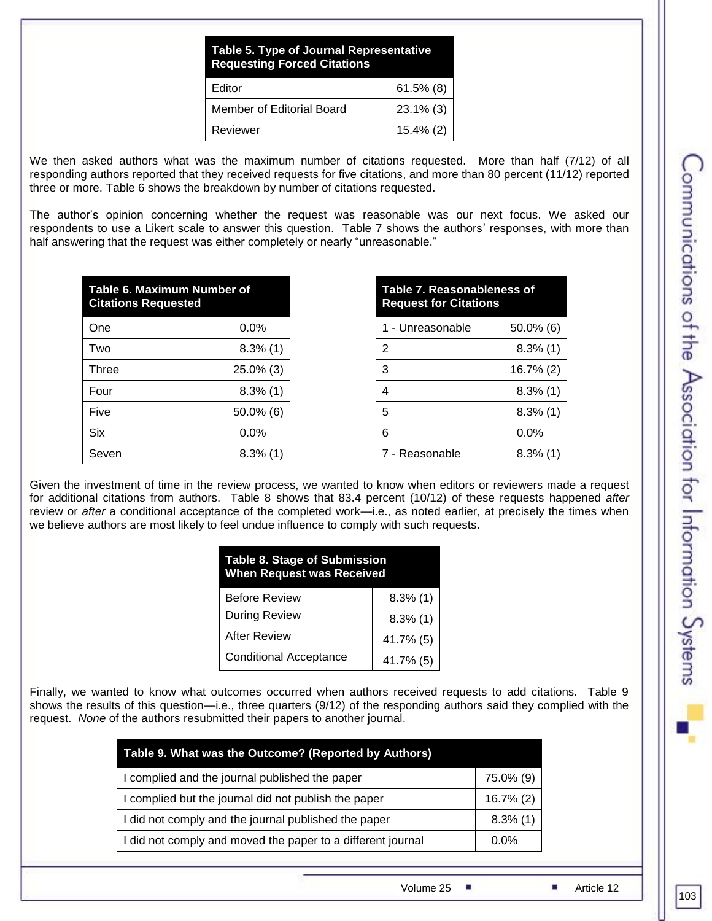| <b>Table 5. Type of Journal Representative</b><br><b>Requesting Forced Citations</b> |              |  |
|--------------------------------------------------------------------------------------|--------------|--|
| Editor                                                                               | $61.5\%$ (8) |  |
| Member of Editorial Board                                                            | $23.1\%$ (3) |  |
| Reviewer<br>$15.4\%$ (2)                                                             |              |  |

We then asked authors what was the maximum number of citations requested. More than half (7/12) of all responding authors reported that they received requests for five citations, and more than 80 percent (11/12) reported three or more. Table 6 shows the breakdown by number of citations requested.

The author's opinion concerning whether the request was reasonable was our next focus. We asked our respondents to use a Likert scale to answer this question. Table 7 shows the authors' responses, with more than half answering that the request was either completely or nearly "unreasonable."

| <b>Table 6. Maximum Number of</b><br><b>Citations Requested</b> |              |  |
|-----------------------------------------------------------------|--------------|--|
| One                                                             | 0.0%         |  |
| Two                                                             | $8.3\%$ (1)  |  |
| Three                                                           | 25.0% (3)    |  |
| Four                                                            | $8.3\%$ (1)  |  |
| Five                                                            | $50.0\%$ (6) |  |
| <b>Six</b>                                                      | $0.0\%$      |  |
| Seven                                                           | $8.3\%$ (1)  |  |

**Table 7. Reasonableness of Request for Citations**

| 1 - Unreasonable | 50.0% (6)   |
|------------------|-------------|
| 2                | $8.3\%$ (1) |
| 3                | 16.7% (2)   |
| 4                | $8.3\%$ (1) |
| 5                | $8.3\%$ (1) |
| 6                | $0.0\%$     |
| 7 - Reasonable   | $8.3\%$ (1) |

Given the investment of time in the review process, we wanted to know when editors or reviewers made a request for additional citations from authors. Table 8 shows that 83.4 percent (10/12) of these requests happened *after* review or *after* a conditional acceptance of the completed work—i.e., as noted earlier, at precisely the times when we believe authors are most likely to feel undue influence to comply with such requests.

| <b>Table 8. Stage of Submission</b><br><b>When Request was Received</b> |             |  |
|-------------------------------------------------------------------------|-------------|--|
| <b>Before Review</b>                                                    | $8.3\%$ (1) |  |
| During Review                                                           | $8.3\%$ (1) |  |
| <b>After Review</b>                                                     | 41.7% (5)   |  |
| <b>Conditional Acceptance</b>                                           | 41.7% (5)   |  |

Finally, we wanted to know what outcomes occurred when authors received requests to add citations. Table 9 shows the results of this question—i.e., three quarters (9/12) of the responding authors said they complied with the request. *None* of the authors resubmitted their papers to another journal.

| Table 9. What was the Outcome? (Reported by Authors)        |              |  |
|-------------------------------------------------------------|--------------|--|
| I complied and the journal published the paper              | 75.0% (9)    |  |
| I complied but the journal did not publish the paper        | $16.7\%$ (2) |  |
| I did not comply and the journal published the paper        | $8.3\%$ (1)  |  |
| I did not comply and moved the paper to a different journal | $0.0\%$      |  |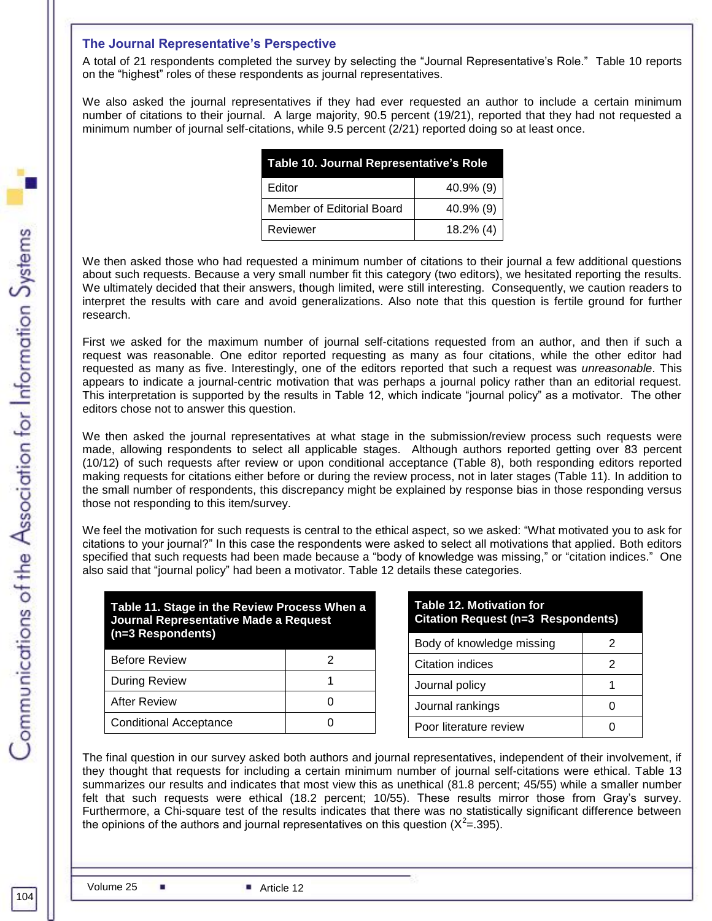# **The Journal Representative's Perspective**

A total of 21 respondents completed the survey by selecting the "Journal Representative's Role." Table 10 reports on the "highest" roles of these respondents as journal representatives.

We also asked the journal representatives if they had ever requested an author to include a certain minimum number of citations to their journal. A large majority, 90.5 percent (19/21), reported that they had not requested a minimum number of journal self-citations, while 9.5 percent (2/21) reported doing so at least once.

| Table 10. Journal Representative's Role |              |  |
|-----------------------------------------|--------------|--|
| Editor                                  | $40.9\%$ (9) |  |
| Member of Editorial Board               | $40.9\%$ (9) |  |
| Reviewer                                | $18.2\%$ (4) |  |

We then asked those who had requested a minimum number of citations to their journal a few additional questions about such requests. Because a very small number fit this category (two editors), we hesitated reporting the results. We ultimately decided that their answers, though limited, were still interesting. Consequently, we caution readers to interpret the results with care and avoid generalizations. Also note that this question is fertile ground for further research.

First we asked for the maximum number of journal self-citations requested from an author, and then if such a request was reasonable. One editor reported requesting as many as four citations, while the other editor had requested as many as five. Interestingly, one of the editors reported that such a request was *unreasonable*. This appears to indicate a journal-centric motivation that was perhaps a journal policy rather than an editorial request. This interpretation is supported by the results in Table 12, which indicate "journal policy" as a motivator. The other editors chose not to answer this question.

We then asked the journal representatives at what stage in the submission/review process such requests were made, allowing respondents to select all applicable stages. Although authors reported getting over 83 percent (10/12) of such requests after review or upon conditional acceptance (Table 8), both responding editors reported making requests for citations either before or during the review process, not in later stages (Table 11). In addition to the small number of respondents, this discrepancy might be explained by response bias in those responding versus those not responding to this item/survey.

We feel the motivation for such requests is central to the ethical aspect, so we asked: "What motivated you to ask for citations to your journal?‖ In this case the respondents were asked to select all motivations that applied. Both editors specified that such requests had been made because a "body of knowledge was missing," or "citation indices." One also said that "journal policy" had been a motivator. Table 12 details these categories.

| Table 11. Stage in the Review Process When a<br>Journal Representative Made a Request<br>(n=3 Respondents) |   |  |
|------------------------------------------------------------------------------------------------------------|---|--|
| <b>Before Review</b>                                                                                       | 2 |  |
| During Review                                                                                              |   |  |
| After Review                                                                                               |   |  |
| <b>Conditional Acceptance</b>                                                                              |   |  |

| <b>Table 12. Motivation for</b><br><b>Citation Request (n=3 Respondents)</b> |   |  |
|------------------------------------------------------------------------------|---|--|
| Body of knowledge missing                                                    | 2 |  |
| Citation indices                                                             | 2 |  |
| Journal policy                                                               |   |  |
| Journal rankings                                                             |   |  |
| Poor literature review                                                       |   |  |

The final question in our survey asked both authors and journal representatives, independent of their involvement, if they thought that requests for including a certain minimum number of journal self-citations were ethical. Table 13 summarizes our results and indicates that most view this as unethical (81.8 percent; 45/55) while a smaller number felt that such requests were ethical (18.2 percent; 10/55). These results mirror those from Gray's survey. Furthermore, a Chi-square test of the results indicates that there was no statistically significant difference between the opinions of the authors and journal representatives on this question ( $X^2$ = 395).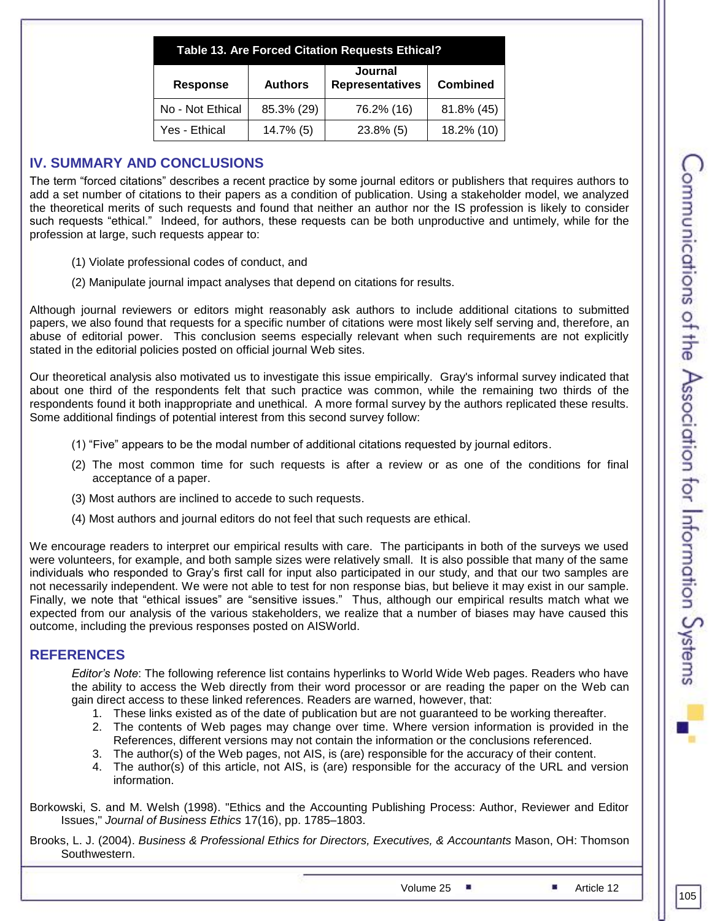|                  |                | Table 13. Are Forced Citation Requests Ethical? |                 |
|------------------|----------------|-------------------------------------------------|-----------------|
| <b>Response</b>  | <b>Authors</b> | <b>Journal</b><br><b>Representatives</b>        | <b>Combined</b> |
| No - Not Ethical | 85.3% (29)     | 76.2% (16)                                      | 81.8% (45)      |
| Yes - Ethical    | 14.7% (5)      | $23.8\%$ (5)                                    | 18.2% (10)      |

# **IV. SUMMARY AND CONCLUSIONS**

The term "forced citations" describes a recent practice by some journal editors or publishers that requires authors to add a set number of citations to their papers as a condition of publication. Using a stakeholder model, we analyzed the theoretical merits of such requests and found that neither an author nor the IS profession is likely to consider such requests "ethical." Indeed, for authors, these requests can be both unproductive and untimely, while for the profession at large, such requests appear to:

- (1) Violate professional codes of conduct, and
- (2) Manipulate journal impact analyses that depend on citations for results.

Although journal reviewers or editors might reasonably ask authors to include additional citations to submitted papers, we also found that requests for a specific number of citations were most likely self serving and, therefore, an abuse of editorial power. This conclusion seems especially relevant when such requirements are not explicitly stated in the editorial policies posted on official journal Web sites.

Our theoretical analysis also motivated us to investigate this issue empirically. Gray's informal survey indicated that about one third of the respondents felt that such practice was common, while the remaining two thirds of the respondents found it both inappropriate and unethical. A more formal survey by the authors replicated these results. Some additional findings of potential interest from this second survey follow:

- (1) "Five" appears to be the modal number of additional citations requested by journal editors.
- (2) The most common time for such requests is after a review or as one of the conditions for final acceptance of a paper.
- (3) Most authors are inclined to accede to such requests.
- (4) Most authors and journal editors do not feel that such requests are ethical.

We encourage readers to interpret our empirical results with care. The participants in both of the surveys we used were volunteers, for example, and both sample sizes were relatively small. It is also possible that many of the same individuals who responded to Gray's first call for input also participated in our study, and that our two samples are not necessarily independent. We were not able to test for non response bias, but believe it may exist in our sample. Finally, we note that "ethical issues" are "sensitive issues." Thus, although our empirical results match what we expected from our analysis of the various stakeholders, we realize that a number of biases may have caused this outcome, including the previous responses posted on AISWorld.

# **REFERENCES**

*Editor's Note*: The following reference list contains hyperlinks to World Wide Web pages. Readers who have the ability to access the Web directly from their word processor or are reading the paper on the Web can gain direct access to these linked references. Readers are warned, however, that:

- 1. These links existed as of the date of publication but are not guaranteed to be working thereafter.
- 2. The contents of Web pages may change over time. Where version information is provided in the References, different versions may not contain the information or the conclusions referenced.
- 3. The author(s) of the Web pages, not AIS, is (are) responsible for the accuracy of their content.
- 4. The author(s) of this article, not AIS, is (are) responsible for the accuracy of the URL and version information.

Borkowski, S. and M. Welsh (1998). "Ethics and the Accounting Publishing Process: Author, Reviewer and Editor Issues," *Journal of Business Ethics* 17(16), pp. 1785–1803.

Brooks, L. J. (2004). *Business & Professional Ethics for Directors, Executives, & Accountants* Mason, OH: Thomson Southwestern.

Volume 25  $\blacksquare$  Article 12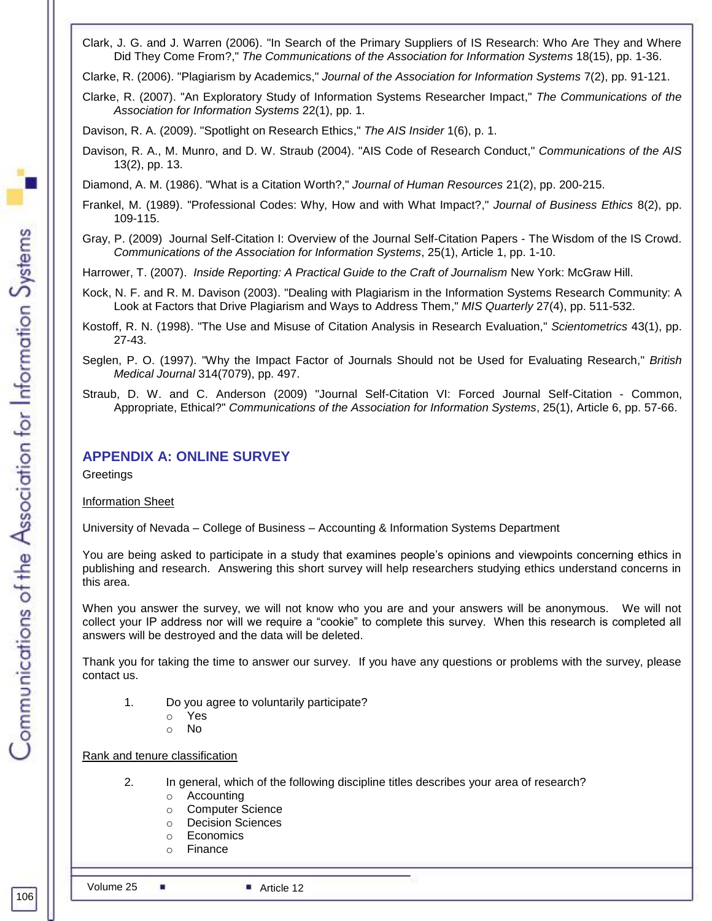Clark, J. G. and J. Warren (2006). "In Search of the Primary Suppliers of IS Research: Who Are They and Where Did They Come From?," *The Communications of the Association for Information Systems* 18(15), pp. 1-36.

Clarke, R. (2006). "Plagiarism by Academics," *Journal of the Association for Information Systems* 7(2), pp. 91-121.

Clarke, R. (2007). "An Exploratory Study of Information Systems Researcher Impact," *The Communications of the Association for Information Systems* 22(1), pp. 1.

Davison, R. A. (2009). "Spotlight on Research Ethics," *The AIS Insider* 1(6), p. 1.

Davison, R. A., M. Munro, and D. W. Straub (2004). "AIS Code of Research Conduct," *Communications of the AIS* 13(2), pp. 13.

Diamond, A. M. (1986). "What is a Citation Worth?," *Journal of Human Resources* 21(2), pp. 200-215.

- Frankel, M. (1989). "Professional Codes: Why, How and with What Impact?," *Journal of Business Ethics* 8(2), pp. 109-115.
- Gray, P. (2009) Journal Self-Citation I: Overview of the Journal Self-Citation Papers The Wisdom of the IS Crowd. *Communications of the Association for Information Systems*, 25(1), Article 1, pp. 1-10.

Harrower, T. (2007). *[Inside Reporting: A Practical Guide to the Craft of Journalism](http://www.amazon.com/Inside-Reporting-Practical-Guide-Journalism/dp/0073526142/ref=sr_1_1?ie=UTF8&s=books&qid=1242840055&sr=8-1)* New York: McGraw Hill.

- Kock, N. F. and R. M. Davison (2003). "Dealing with Plagiarism in the Information Systems Research Community: A Look at Factors that Drive Plagiarism and Ways to Address Them," *MIS Quarterly* 27(4), pp. 511-532.
- Kostoff, R. N. (1998). "The Use and Misuse of Citation Analysis in Research Evaluation," *Scientometrics* 43(1), pp. 27-43.
- Seglen, P. O. (1997). "Why the Impact Factor of Journals Should not be Used for Evaluating Research," *British Medical Journal* 314(7079), pp. 497.
- Straub, D. W. and C. Anderson (2009) "Journal Self-Citation VI: Forced Journal Self-Citation Common, Appropriate, Ethical?" *Communications of the Association for Information Systems*, 25(1), Article 6, pp. 57-66.

# **APPENDIX A: ONLINE SURVEY**

**Greetings** 

Information Sheet

University of Nevada – College of Business – Accounting & Information Systems Department

You are being asked to participate in a study that examines people's opinions and viewpoints concerning ethics in publishing and research. Answering this short survey will help researchers studying ethics understand concerns in this area.

When you answer the survey, we will not know who you are and your answers will be anonymous. We will not collect your IP address nor will we require a "cookie" to complete this survey. When this research is completed all answers will be destroyed and the data will be deleted.

Thank you for taking the time to answer our survey. If you have any questions or problems with the survey, please contact us.

- 1. Do you agree to voluntarily participate?
	- o Yes
	- o No

Rank and tenure classification

- 2. In general, which of the following discipline titles describes your area of research?
	- o Accounting
	- o Computer Science
	- o Decision Sciences
	- o Economics
	- o Finance

106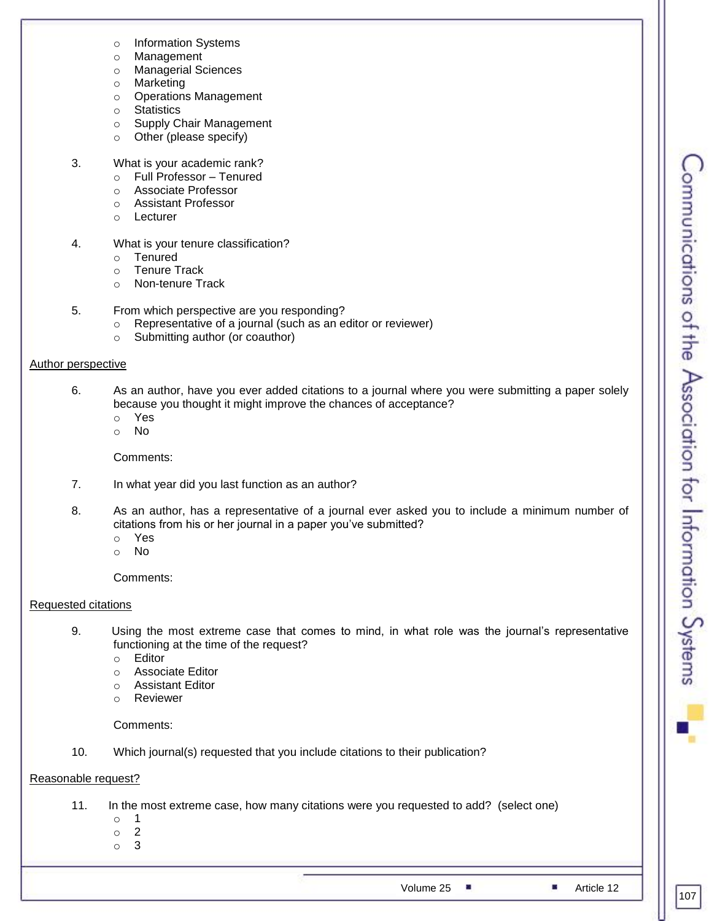- o Information Systems
- o Management
- o Managerial Sciences
- o Marketing
- o Operations Management
- o Statistics
- o Supply Chair Management
- o Other (please specify)
- 3. What is your academic rank?
	- o Full Professor Tenured
	- o Associate Professor
	- o Assistant Professor
	- o Lecturer
- 4. What is your tenure classification?
	- o Tenured
	- o Tenure Track
	- o Non-tenure Track
- 5. From which perspective are you responding?
	- o Representative of a journal (such as an editor or reviewer)
	- o Submitting author (or coauthor)

# Author perspective

- 6. As an author, have you ever added citations to a journal where you were submitting a paper solely because you thought it might improve the chances of acceptance?
	- o Yes
	- o No

Comments:

- 7. In what year did you last function as an author?
- 8. As an author, has a representative of a journal ever asked you to include a minimum number of citations from his or her journal in a paper you've submitted?
	- o Yes
	- o No

Comments:

# Requested citations

- 9. Using the most extreme case that comes to mind, in what role was the journal's representative functioning at the time of the request?
	- o Editor
	- o Associate Editor
	- o Assistant Editor
	- o Reviewer

# Comments:

10. Which journal(s) requested that you include citations to their publication?

# Reasonable request?

- 11. In the most extreme case, how many citations were you requested to add? (select one)
	- o 1
	- o 2
	- o 3

Volume 25 **Article 12**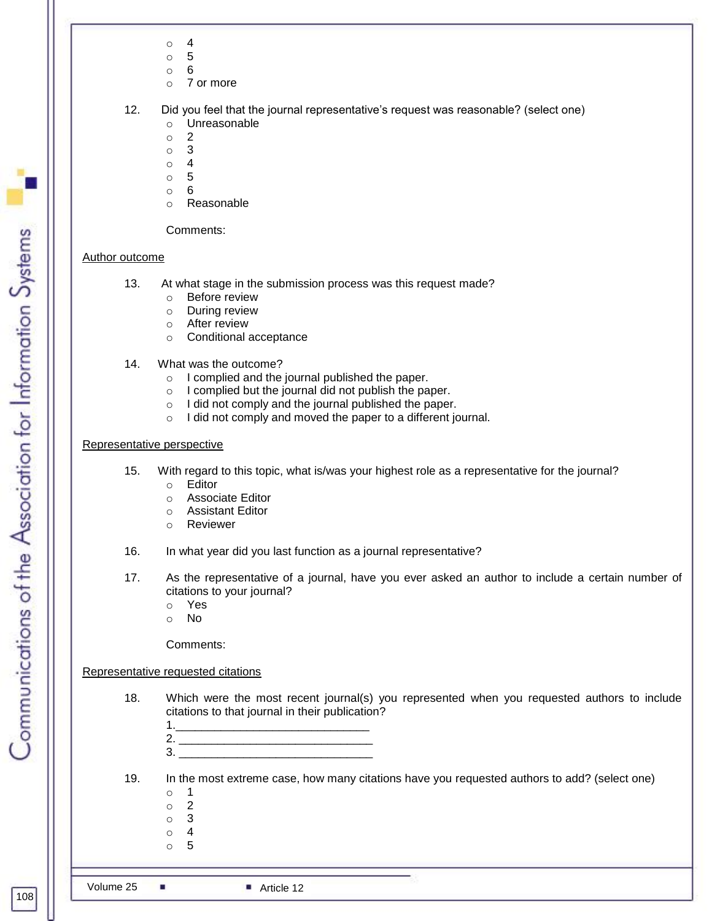- $\circ$  4
- o 5
- o 6
- o 7 or more

- o Unreasonable
- o 2
- o 3
- o 4
- o 5 o 6
- o Reasonable

Comments:

# Author outcome

- 13. At what stage in the submission process was this request made?
	- o Before review
	- o During review
	- o After review
	- o Conditional acceptance
- 14. What was the outcome?
	- o I complied and the journal published the paper.
	- o I complied but the journal did not publish the paper.
	- o I did not comply and the journal published the paper.
	- o I did not comply and moved the paper to a different journal.

# Representative perspective

- 15. With regard to this topic, what is/was your highest role as a representative for the journal?
	- o Editor
	- o Associate Editor
	- o Assistant Editor
	- o Reviewer
- 16. In what year did you last function as a journal representative?
- 17. As the representative of a journal, have you ever asked an author to include a certain number of citations to your journal?
	- o Yes
	- o No

Comments:

# Representative requested citations

- 18. Which were the most recent journal(s) you represented when you requested authors to include citations to that journal in their publication?
	- 1.\_\_\_\_\_\_\_\_\_\_\_\_\_\_\_\_\_\_\_\_\_\_\_\_\_\_\_\_\_\_ 2. \_\_\_\_\_\_\_\_\_\_\_\_\_\_\_\_\_\_\_\_\_\_\_\_\_\_\_\_\_\_
	- $3.$

19. In the most extreme case, how many citations have you requested authors to add? (select one)

- o 1
- o 2 o 3
- o 4
- o 5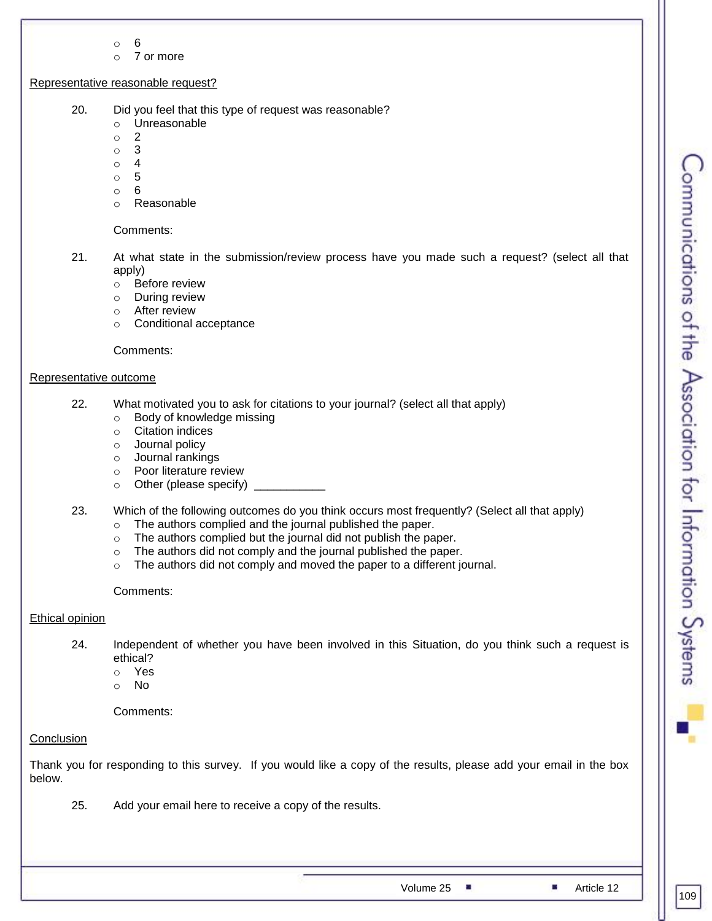- o 6
- o 7 or more

# Representative reasonable request?

- 20. Did you feel that this type of request was reasonable?
	- o Unreasonable
	- o 2
	- o 3
	- o 4
	- $\circ$  5
	- o 6
	- o Reasonable

# Comments:

- 21. At what state in the submission/review process have you made such a request? (select all that apply)
	- o Before review
	- o During review
	- o After review
	- o Conditional acceptance

Comments:

## Representative outcome

- 22. What motivated you to ask for citations to your journal? (select all that apply)
	- o Body of knowledge missing
	- o Citation indices
	- o Journal policy
	- o Journal rankings
	- o Poor literature review
	- $\circ$  Other (please specify)
- 23. Which of the following outcomes do you think occurs most frequently? (Select all that apply)
	- o The authors complied and the journal published the paper.
	- o The authors complied but the journal did not publish the paper.
	- o The authors did not comply and the journal published the paper.
	- o The authors did not comply and moved the paper to a different journal.

Comments:

# Ethical opinion

- 24. Independent of whether you have been involved in this Situation, do you think such a request is ethical?
	- o Yes
	- o No

Comments:

# **Conclusion**

Thank you for responding to this survey. If you would like a copy of the results, please add your email in the box below.

25. Add your email here to receive a copy of the results.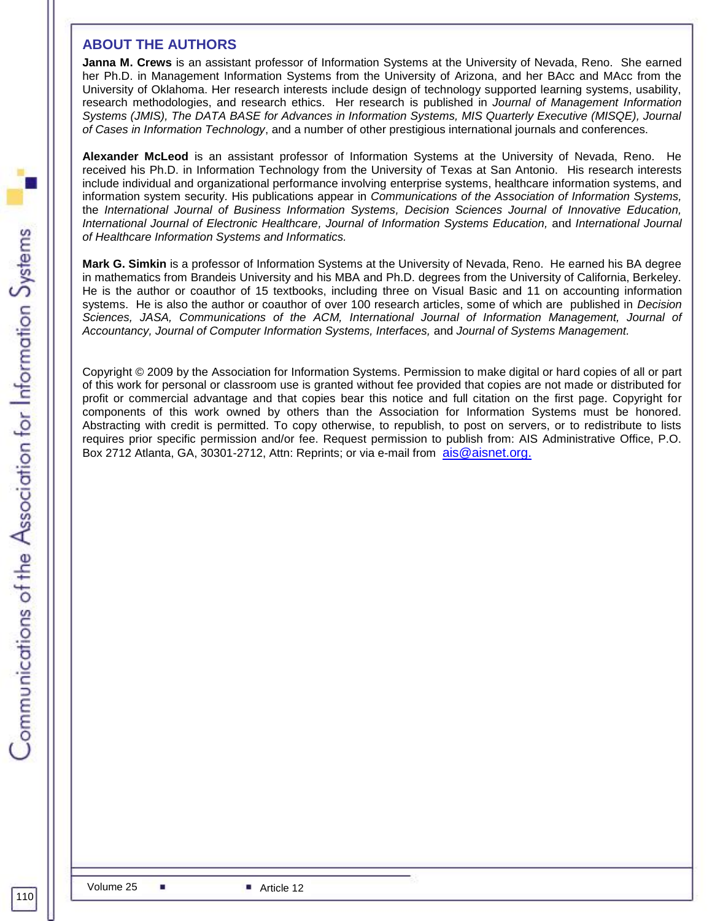# **ABOUT THE AUTHORS**

**Janna M. Crews** is an assistant professor of Information Systems at the University of Nevada, Reno. She earned her Ph.D. in Management Information Systems from the University of Arizona, and her BAcc and MAcc from the University of Oklahoma. Her research interests include design of technology supported learning systems, usability, research methodologies, and research ethics. Her research is published in *Journal of Management Information Systems (JMIS), The DATA BASE for Advances in Information Systems, MIS Quarterly Executive (MISQE), Journal of Cases in Information Technology*, and a number of other prestigious international journals and conferences.

**Alexander McLeod** is an assistant professor of Information Systems at the University of Nevada, Reno. He received his Ph.D. in Information Technology from the University of Texas at San Antonio. His research interests include individual and organizational performance involving enterprise systems, healthcare information systems, and information system security. His publications appear in *Communications of the Association of Information Systems,*  the *International Journal of Business Information Systems, Decision Sciences Journal of Innovative Education, International Journal of Electronic Healthcare, Journal of Information Systems Education,* and *International Journal of Healthcare Information Systems and Informatics.*

**Mark G. Simkin** is a professor of Information Systems at the University of Nevada, Reno. He earned his BA degree in mathematics from Brandeis University and his MBA and Ph.D. degrees from the University of California, Berkeley. He is the author or coauthor of 15 textbooks, including three on Visual Basic and 11 on accounting information systems. He is also the author or coauthor of over 100 research articles, some of which are published in *Decision Sciences, JASA, Communications of the ACM, International Journal of Information Management, Journal of Accountancy, Journal of Computer Information Systems, Interfaces,* and *Journal of Systems Management.* 

Copyright © 2009 by the Association for Information Systems. Permission to make digital or hard copies of all or part of this work for personal or classroom use is granted without fee provided that copies are not made or distributed for profit or commercial advantage and that copies bear this notice and full citation on the first page. Copyright for components of this work owned by others than the Association for Information Systems must be honored. Abstracting with credit is permitted. To copy otherwise, to republish, to post on servers, or to redistribute to lists requires prior specific permission and/or fee. Request permission to publish from: AIS Administrative Office, P.O. Box 2712 Atlanta, GA, 30301-2712, Attn: Reprints; or via e-mail from [ais@aisnet.org.](mailto:ais@gsu.edu)